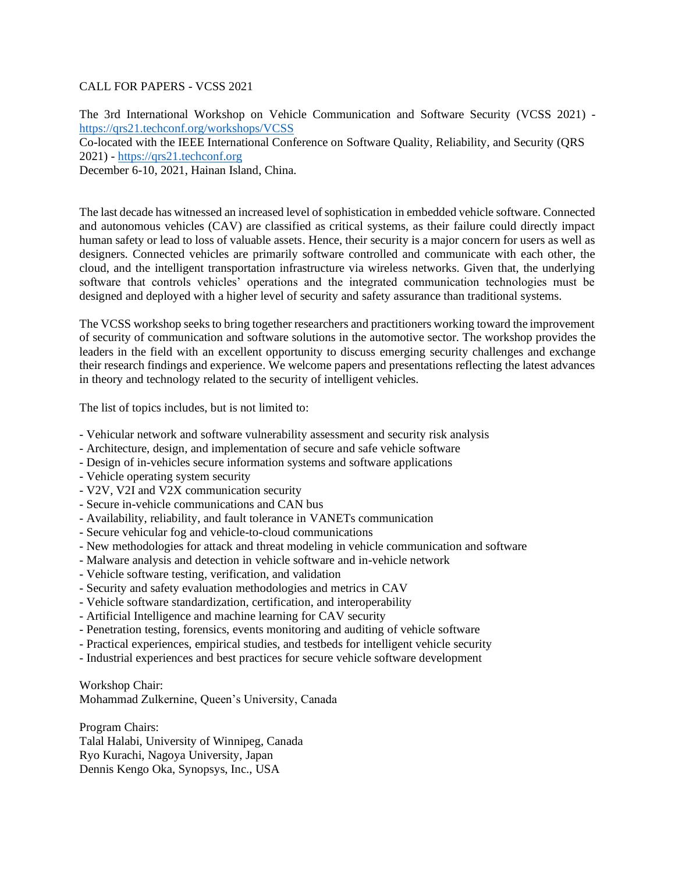## CALL FOR PAPERS - VCSS 2021

The 3rd International Workshop on Vehicle Communication and Software Security (VCSS 2021) <https://qrs21.techconf.org/workshops/VCSS>

Co-located with the IEEE International Conference on Software Quality, Reliability, and Security (QRS 2021) - [https://qrs21.techconf.org](https://qrs21.techconf.org/)

December 6-10, 2021, Hainan Island, China.

The last decade has witnessed an increased level of sophistication in embedded vehicle software. Connected and autonomous vehicles (CAV) are classified as critical systems, as their failure could directly impact human safety or lead to loss of valuable assets. Hence, their security is a major concern for users as well as designers. Connected vehicles are primarily software controlled and communicate with each other, the cloud, and the intelligent transportation infrastructure via wireless networks. Given that, the underlying software that controls vehicles' operations and the integrated communication technologies must be designed and deployed with a higher level of security and safety assurance than traditional systems.

The VCSS workshop seeks to bring together researchers and practitioners working toward the improvement of security of communication and software solutions in the automotive sector. The workshop provides the leaders in the field with an excellent opportunity to discuss emerging security challenges and exchange their research findings and experience. We welcome papers and presentations reflecting the latest advances in theory and technology related to the security of intelligent vehicles.

The list of topics includes, but is not limited to:

- Vehicular network and software vulnerability assessment and security risk analysis
- Architecture, design, and implementation of secure and safe vehicle software
- Design of in-vehicles secure information systems and software applications
- Vehicle operating system security
- V2V, V2I and V2X communication security
- Secure in-vehicle communications and CAN bus
- Availability, reliability, and fault tolerance in VANETs communication
- Secure vehicular fog and vehicle-to-cloud communications
- New methodologies for attack and threat modeling in vehicle communication and software
- Malware analysis and detection in vehicle software and in-vehicle network
- Vehicle software testing, verification, and validation
- Security and safety evaluation methodologies and metrics in CAV
- Vehicle software standardization, certification, and interoperability
- Artificial Intelligence and machine learning for CAV security
- Penetration testing, forensics, events monitoring and auditing of vehicle software
- Practical experiences, empirical studies, and testbeds for intelligent vehicle security
- Industrial experiences and best practices for secure vehicle software development

Workshop Chair:

Mohammad Zulkernine, Queen's University, Canada

Program Chairs: Talal Halabi, University of Winnipeg, Canada Ryo Kurachi, Nagoya University, Japan Dennis Kengo Oka, Synopsys, Inc., USA